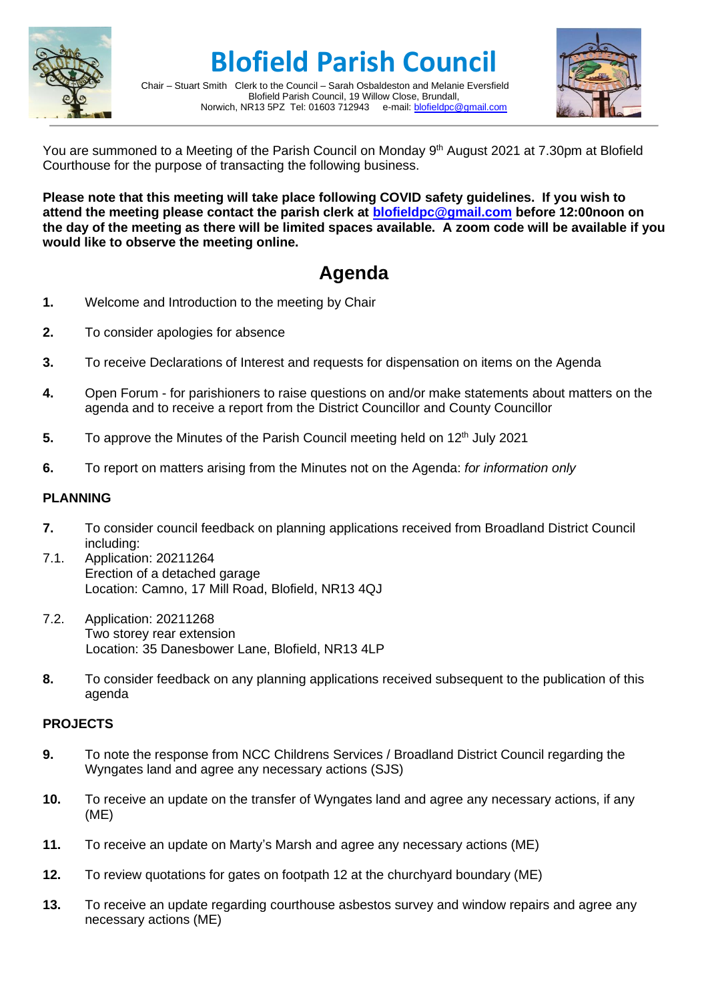

**Blofield Parish Council**

Chair – Stuart Smith Clerk to the Council – Sarah Osbaldeston and Melanie Eversfield Blofield Parish Council, 19 Willow Close, Brundall,<br>R13 5PZ Tel: 01603 712943 e-mail: blofieldpc@gmail.com Norwich, NR13 5PZ Tel: 01603 712943



You are summoned to a Meeting of the Parish Council on Monday 9<sup>th</sup> August 2021 at 7.30pm at Blofield Courthouse for the purpose of transacting the following business.

**Please note that this meeting will take place following COVID safety guidelines. If you wish to attend the meeting please contact the parish clerk at [blofieldpc@gmail.com](mailto:blofieldpc@gmail.com) before 12:00noon on the day of the meeting as there will be limited spaces available. A zoom code will be available if you would like to observe the meeting online.** 

# **Agenda**

- **1.** Welcome and Introduction to the meeting by Chair
- **2.** To consider apologies for absence
- **3.** To receive Declarations of Interest and requests for dispensation on items on the Agenda
- **4.** Open Forum for parishioners to raise questions on and/or make statements about matters on the agenda and to receive a report from the District Councillor and County Councillor
- 5. To approve the Minutes of the Parish Council meeting held on 12<sup>th</sup> July 2021
- **6.** To report on matters arising from the Minutes not on the Agenda: *for information only*

## **PLANNING**

- **7.** To consider council feedback on planning applications received from Broadland District Council including:
- 7.1. Application: 20211264 Erection of a detached garage Location: Camno, 17 Mill Road, Blofield, NR13 4QJ
- 7.2. Application: 20211268 Two storey rear extension Location: 35 Danesbower Lane, Blofield, NR13 4LP
- **8.** To consider feedback on any planning applications received subsequent to the publication of this agenda

### **PROJECTS**

- **9.** To note the response from NCC Childrens Services / Broadland District Council regarding the Wyngates land and agree any necessary actions (SJS)
- **10.** To receive an update on the transfer of Wyngates land and agree any necessary actions, if any (ME)
- **11.** To receive an update on Marty's Marsh and agree any necessary actions (ME)
- **12.** To review quotations for gates on footpath 12 at the churchyard boundary (ME)
- **13.** To receive an update regarding courthouse asbestos survey and window repairs and agree any necessary actions (ME)